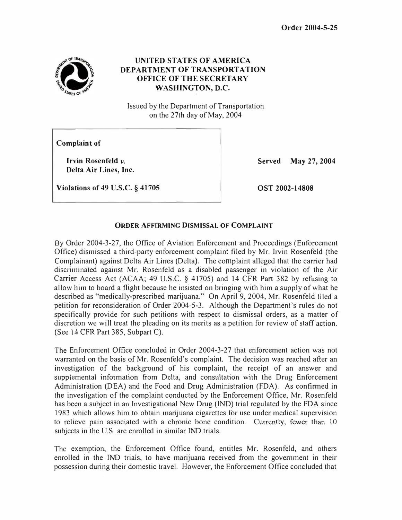

## UNITED STATES OF AMERICA DEPARTMENT OF TRANSPORTATION **OFFICE OF THE SECRETARY** WASHINGTON, D.C.

Issued by the Department of Transportation on the 27th day of May, 2004

Complaint of

Irvin Rosenfeld v. Delta Air Lines, Inc. Served May 27, 2004

Violations of 49 U.S.C. § 41705

OST 2002-14808

## ORDER AFFIRMING DISMISSAL OF COMPLAINT

By Order 2004-3-27, the Office of Aviation Enforcement and Proceedings (Enforcement Office) dismissed a third-party enforcement complaint filed by Mr. Irvin Rosenfeld (the Complainant) against Delta Air Lines (Delta). The complaint alleged that the carrier had discriminated against Mr. Rosenfeld as a disabled passenger in violation of the Air Carrier Access Act (ACAA; 49 U.S.C. § 4 1705) and 14 CFR Part 382 by refusing to allow him to board a flight because he insisted on bringing with him a supply of what he described as "medically-prescribed marijuana." On April 9, 2004, Mr. Rosenfeld filed a petition for reconsideration of Order 2004-5-3. Although the Department's rules do not specifically provide for such petitions with respect to dismissal orders, as a matter of discretion we will treat the pleading on its merits as a petition for review of staff action. (See 14 CFR Part 385, Subpart C).

The Enforcement Office concluded in Order 2004-3-27 that enforcement action was not warranted on the basis of Mr. Rosenfeld's complaint. The decision was reached after an investigation of the background of his complaint, the receipt of an answer and supplemental information from Delta, and consultation with the Drug Enforcement Administration (DEA) and the Food and Drug Administration (FDA). As confirmed in the investigation of the complaint conducted by the Enforcement Office, Mr. Rosenfeld has been a subject in an Investigational New Drug (IND) trial regulated by the FDA since 1983 which allows him to obtain marijuana cigarettes for use under medical supervision to relieve pain associated with a chronic bone condition. Currently, fewer than 10 subjects in the U.S. are enrolled in similar IND trials.

The exemption, the Enforcement Office found, entitles Mr. Rosenfeld, and others enrolled in the IND trials, to have marijuana received from the government in their possession during their domestic travel. However, the Enforcement Office concluded that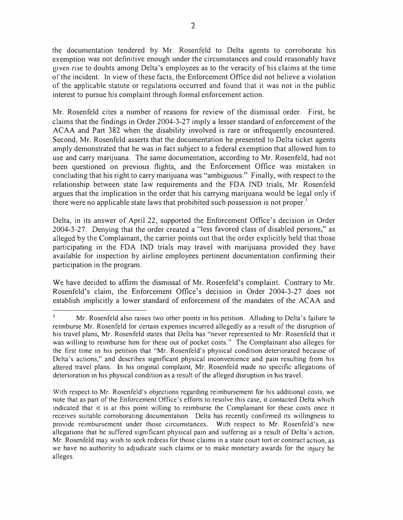the documentation tendered by Mr. Rosenfeld to Delta agents to corroborate his exemption was not definitive enough under the circumstances and could reasonably have given rise to doubts among Delta's employees as to the veracity of his claims at the time of the incident. In view of these facts, the Enforcement Office did not believe a violation of the applicable statute or regulations occurred and found that it was not in the public interest to pursue his complaint through formal enforcement action.

Mr. Rosenfeld cites a number of reasons for review of the dismissal order. First, he claims that the findings in Order 2004-3-27 imply a lesser standard of enforcement of the ACAA and Part 382 when the disability involved is rare or infrequently encountered. Second, Mr. Rosenfeld asserts that the documentation he presented to Delta ticket agents amply demonstrated that he was in fact subject to a federal exemption that allowed him to use and carry marijuana. The same documentation, according to Mr. Rosenfeld, had not been questioned on previous flights, and the Enforcement Office was mistaken in concluding that his right to carry marijuana was "ambiguous." Finally, with respect to the relationship between state law requirements and the FDA IND trials, Mr. Rosenfeld argues that the implication in the order that his carrying marijuana would be legal only if there were no applicable state laws that prohibited such possession is not proper.<sup>1</sup>

Delta, in its answer of April 22, supported the Enforcement Office's decision in Order 2004-3-27. Denying that the order created a "less favored class of disabled persons," as alleged by the Complainant, the carrier points out that the order explicitly held that those participating in the FDA IND trials may travel with marijuana provided they have available for inspection by airline employees pertinent documentation confirming their participation in the program.

We have decided to affirm the dismissal of Mr. Rosenfeld's complaint. Contrary to Mr. Rosenfeld's claim, the Enforcement Office's decision in Order 2004-3-27 does not establish implicitly a lower standard of enforcement of the mandates of the ACAA and

Mr. Rosenfeld also raises two other points in his petition. Alluding to Delta's failure to reimburse Mr. Rosenfeld for certain expenses incurred allegedly as a result of the disruption of his travel plans, Mr. Rosenfeld states that Delta has "never represented to Mr. Rosenfeld that it was willing to reimburse him for these out of pocket costs." The Complainant also alleges for the first time in his petition that "Mr. Rosenfeld 's physical condition deteriorated because of Delta's actions," and describes significant physical inconvenience and pain resulting from his altered travel plans. In his original complaint, Mr. Rosenfeld made no specific allegations of deterioration in his physical condition as a result of the alleged disruption in his travel.

With respect to Mr. Rosenfeld's objections regarding reimbursement for his additional costs, we note that as part of the Enforcement Office's efforts to resolve this case, it contacted Delta which indicated that it is at this point willing to reimburse the Complainant for these costs once it receives suitable corroborating documentation. Delta has recently confinned its willingness to provide reimbursement under those circumstances. With respect to Mr. Rosenfeld's new allegations that he suffered significant physical pain and suffering as a result of Delta's action, Mr. Rosenfeld may wish to seek redress for those claims in a state court tort or contract action, as we have no authority to adjudicate such claims or to make monetary awards for the injury he alleges.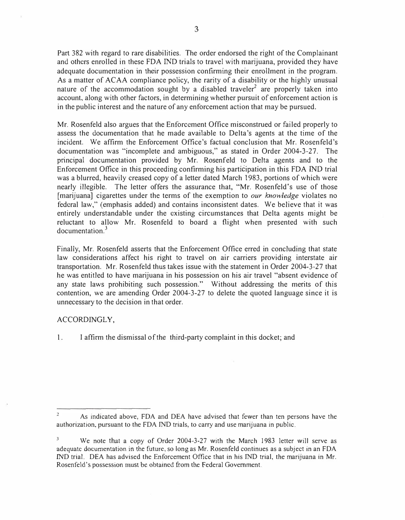Part 382 with regard to rare disabilities. The order endorsed the right of the Complainant and others enrolled in these FDA IND trials to travel with marijuana, provided they have adequate documentation in their possession confirming their enrollment in the program. As a matter of ACAA compliance policy, the rarity of a disability or the highly unusual nature of the accommodation sought by a disabled traveler<sup>2</sup> are properly taken into account, along with other factors, in determining whether pursuit of enforcement action is in the public interest and the nature of any enforcement action that may be pursued.

Mr. Rosenfeld also argues that the Enforcement Office misconstrued or failed properly to assess the documentation that he made available to Delta's agents at the time of the incident. We affirm the Enforcement Office's factual conclusion that Mr. Rosenfeld's documentation was "incomplete and ambiguous," as stated in Order 2004-3-27. The principal documentation provided by Mr. Rosenfeld to Delta agents and to the Enforcement Office in this proceeding confirming his participation in this FDA IND trial was a blurred, heavily creased copy of a letter dated March 1983, portions of which were nearly illegible. The letter offers the assurance that, "Mr. Rosenfeld's use of those [marijuana] cigarettes under the terms of the exemption to *our knowledge* violates no federal law," (emphasis added) and contains inconsistent dates. We believe that it was entirely understandable under the existing circumstances that Delta agents might be reluctant to allow Mr. Rosenfeld to board a flight when presented with such documentation.<sup>3</sup>

Finally, Mr. Rosenfeld asserts that the Enforcement Office erred in concluding that state law considerations affect his right to travel on air carriers providing interstate air transportation. Mr. Rosenfeld thus takes issue with the statement in Order 2004-3-27 that he was entitled to have marijuana in his possession on his air travel "absent evidence of any state laws prohibiting such possession." Without addressing the merits of this contention, we are amending Order 2004-3-27 to delete the quoted language since it is unnecessary to the decision in that order.

## ACCORDINGLY,

1. I affirm the dismissal of the third-party complaint in this docket; and

 $\overline{c}$ As indicated above, FDA and DEA have advised that fewer than ten persons have the authorization, pursuant to the FDA IND trials, to carry and use marijuana in public.

 $\overline{3}$ We note that a copy of Order 2004-3-27 with the March 1983 letter will serve as adequate documentation in the future, so long as Mr. Rosenfeld continues as a subject in an FDA IND trial. DEA has advised the Enforcement Office that in his IND trial, the marijuana in Mr. Rosenfeld's possession must be obtained from the Federal Government.